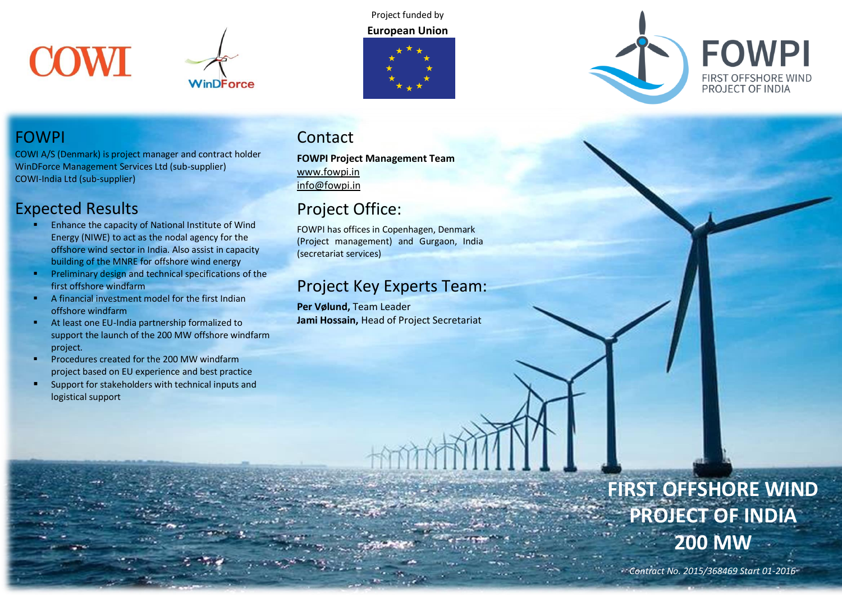



Project funded by **European Union**





## FOWPI

COWI A/S (Denmark) is project manager and contract holder WinDForce Management Services Ltd (sub-supplier) COWI-India Ltd (sub-supplier)

# Expected Results

- Enhance the capacity of National Institute of Wind Energy (NIWE) to act as the nodal agency for the offshore wind sector in India. Also assist in capacity building of the MNRE for offshore wind energy
- Preliminary design and technical specifications of the first offshore windfarm
- A financial investment model for the first Indian offshore windfarm
- At least one EU-India partnership formalized to support the launch of the 200 MW offshore windfarm project.
- Procedures created for the 200 MW windfarm project based on EU experience and best practice
- **EXECUTE:** Support for stakeholders with technical inputs and logistical support

## Contact

**FOWPI Project Management Team** [www.fowpi.in](http://www.fowpi.in/) [info@fowpi.in](mailto:info@fowpi.in)

# Project Office:

FOWPI has offices in Copenhagen, Denmark (Project management) and Gurgaon, India (secretariat services)

# Project Key Experts Team:

**Per Vølund,** Team Leader **Jami Hossain,** Head of Project Secretariat

# **FIRST OFFSHORE WIND PROJECT OF INDIA 200 MW**

*Contract No. 2015/368469 Start 01-2016* 

*Duration: 42 months*